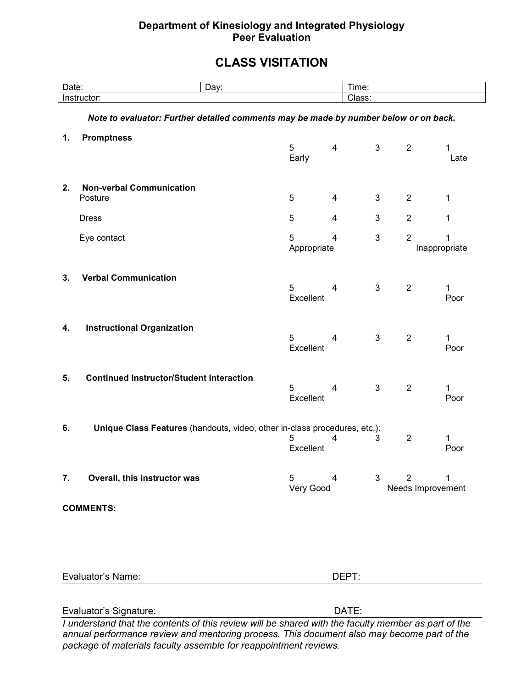## **Department of Kinesiology and Integrated Physiology Peer Evaluation**

## **CLASS VISITATION**

| Date:<br>Day:    |                                                                                      |                  |                         | Time:          |                |                        |  |
|------------------|--------------------------------------------------------------------------------------|------------------|-------------------------|----------------|----------------|------------------------|--|
|                  | Instructor:                                                                          |                  |                         | Class:         |                |                        |  |
|                  | Note to evaluator: Further detailed comments may be made by number below or on back. |                  |                         |                |                |                        |  |
| 1.               | <b>Promptness</b>                                                                    | 5<br>Early       | $\overline{\mathbf{4}}$ | $\mathfrak{S}$ | $\overline{2}$ | 1<br>Late              |  |
| 2.               | <b>Non-verbal Communication</b><br>Posture                                           | 5                | $\overline{\mathbf{4}}$ | $\mathfrak{S}$ | $\overline{2}$ | 1                      |  |
|                  | <b>Dress</b>                                                                         | 5                | 4                       | 3              | $\overline{2}$ | 1                      |  |
|                  | Eye contact                                                                          | 5<br>Appropriate | $\overline{4}$          | 3              | $\overline{2}$ | 1<br>Inappropriate     |  |
| 3.               | <b>Verbal Communication</b>                                                          | 5<br>Excellent   | 4                       | 3              | $\overline{2}$ | 1<br>Poor              |  |
| 4.               | <b>Instructional Organization</b>                                                    | 5<br>Excellent   | $\overline{4}$          | $\mathbf{3}$   | $\overline{2}$ | 1<br>Poor              |  |
| 5.               | <b>Continued Instructor/Student Interaction</b>                                      | 5<br>Excellent   | 4                       | 3              | $\overline{2}$ | 1<br>Poor              |  |
| 6.               | Unique Class Features (handouts, video, other in-class procedures, etc.):            | 5<br>Excellent   | 4                       | 3              | $\overline{2}$ | 1<br>Poor              |  |
| 7.               | Overall, this instructor was                                                         | 5<br>Very Good   | 4                       | 3              | $\overline{2}$ | 1<br>Needs Improvement |  |
| <b>COMMENTS:</b> |                                                                                      |                  |                         |                |                |                        |  |
|                  | Evaluator's Name:                                                                    |                  | DEPT:                   |                |                |                        |  |
|                  |                                                                                      |                  |                         |                |                |                        |  |
|                  | Evaluator's Signature:                                                               |                  | DATE:                   |                |                |                        |  |

*I understand that the contents of this review will be shared with the faculty member as part of the annual performance review and mentoring process. This document also may become part of the package of materials faculty assemble for reappointment reviews.*